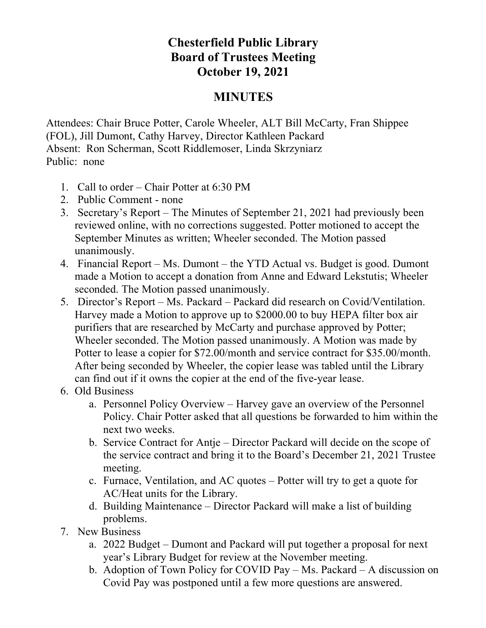## **Chesterfield Public Library Board of Trustees Meeting October 19, 2021**

## **MINUTES**

Attendees: Chair Bruce Potter, Carole Wheeler, ALT Bill McCarty, Fran Shippee (FOL), Jill Dumont, Cathy Harvey, Director Kathleen Packard Absent: Ron Scherman, Scott Riddlemoser, Linda Skrzyniarz Public: none

- 1. Call to order Chair Potter at 6:30 PM
- 2. Public Comment none
- 3. Secretary's Report The Minutes of September 21, 2021 had previously been reviewed online, with no corrections suggested. Potter motioned to accept the September Minutes as written; Wheeler seconded. The Motion passed unanimously.
- 4. Financial Report Ms. Dumont the YTD Actual vs. Budget is good. Dumont made a Motion to accept a donation from Anne and Edward Lekstutis; Wheeler seconded. The Motion passed unanimously.
- 5. Director's Report Ms. Packard Packard did research on Covid/Ventilation. Harvey made a Motion to approve up to \$2000.00 to buy HEPA filter box air purifiers that are researched by McCarty and purchase approved by Potter; Wheeler seconded. The Motion passed unanimously. A Motion was made by Potter to lease a copier for \$72.00/month and service contract for \$35.00/month. After being seconded by Wheeler, the copier lease was tabled until the Library can find out if it owns the copier at the end of the five-year lease.
- 6. Old Business
	- a. Personnel Policy Overview Harvey gave an overview of the Personnel Policy. Chair Potter asked that all questions be forwarded to him within the next two weeks.
	- b. Service Contract for Antje Director Packard will decide on the scope of the service contract and bring it to the Board's December 21, 2021 Trustee meeting.
	- c. Furnace, Ventilation, and AC quotes Potter will try to get a quote for AC/Heat units for the Library.
	- d. Building Maintenance Director Packard will make a list of building problems.
- 7. New Business
	- a. 2022 Budget Dumont and Packard will put together a proposal for next year's Library Budget for review at the November meeting.
	- b. Adoption of Town Policy for COVID Pay Ms. Packard A discussion on Covid Pay was postponed until a few more questions are answered.